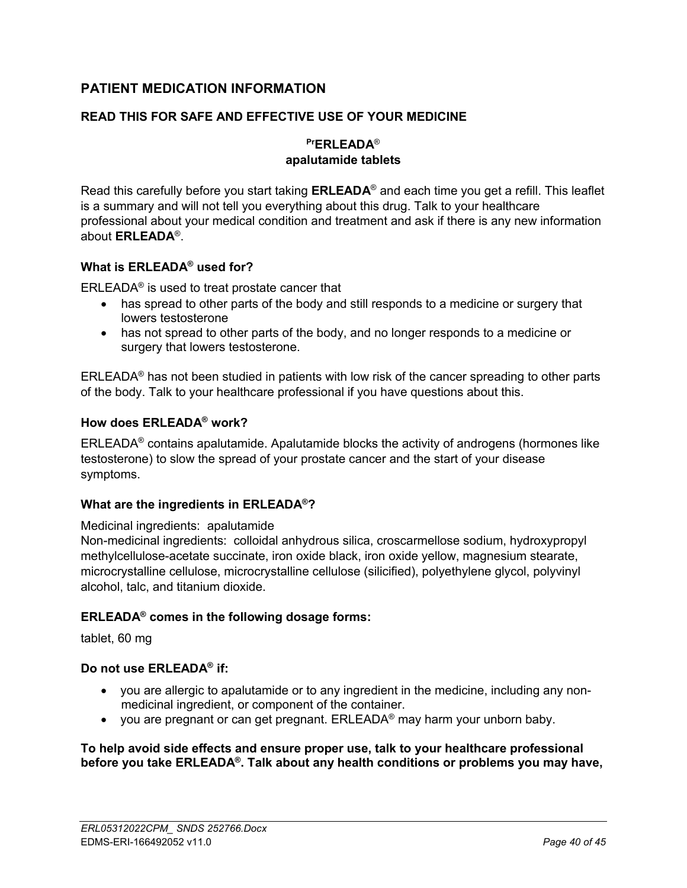# **PATIENT MEDICATION INFORMATION**

## **READ THIS FOR SAFE AND EFFECTIVE USE OF YOUR MEDICINE**

## **PrERLEADA**® **apalutamide tablets**

Read this carefully before you start taking **ERLEADA**® and each time you get a refill. This leaflet is a summary and will not tell you everything about this drug. Talk to your healthcare professional about your medical condition and treatment and ask if there is any new information about **ERLEADA**® .

## **What is ERLEADA® used for?**

ERLEADA® is used to treat prostate cancer that

- has spread to other parts of the body and still responds to a medicine or surgery that lowers testosterone
- has not spread to other parts of the body, and no longer responds to a medicine or surgery that lowers testosterone.

ERLEADA® has not been studied in patients with low risk of the cancer spreading to other parts of the body. Talk to your healthcare professional if you have questions about this.

## **How does ERLEADA® work?**

ERLEADA® contains apalutamide. Apalutamide blocks the activity of androgens (hormones like testosterone) to slow the spread of your prostate cancer and the start of your disease symptoms.

### **What are the ingredients in ERLEADA®?**

#### Medicinal ingredients:apalutamide

Non-medicinal ingredients: colloidal anhydrous silica, croscarmellose sodium, hydroxypropyl methylcellulose-acetate succinate, iron oxide black, iron oxide yellow, magnesium stearate, microcrystalline cellulose, microcrystalline cellulose (silicified), polyethylene glycol, polyvinyl alcohol, talc, and titanium dioxide.

### **ERLEADA® comes in the following dosage forms:**

tablet, 60 mg

### **Do not use ERLEADA® if:**

- you are allergic to apalutamide or to any ingredient in the medicine, including any nonmedicinal ingredient, or component of the container.
- you are pregnant or can get pregnant.  $ERLEADA<sup>®</sup>$  may harm your unborn baby.

#### **To help avoid side effects and ensure proper use, talk to your healthcare professional before you take ERLEADA® . Talk about any health conditions or problems you may have,**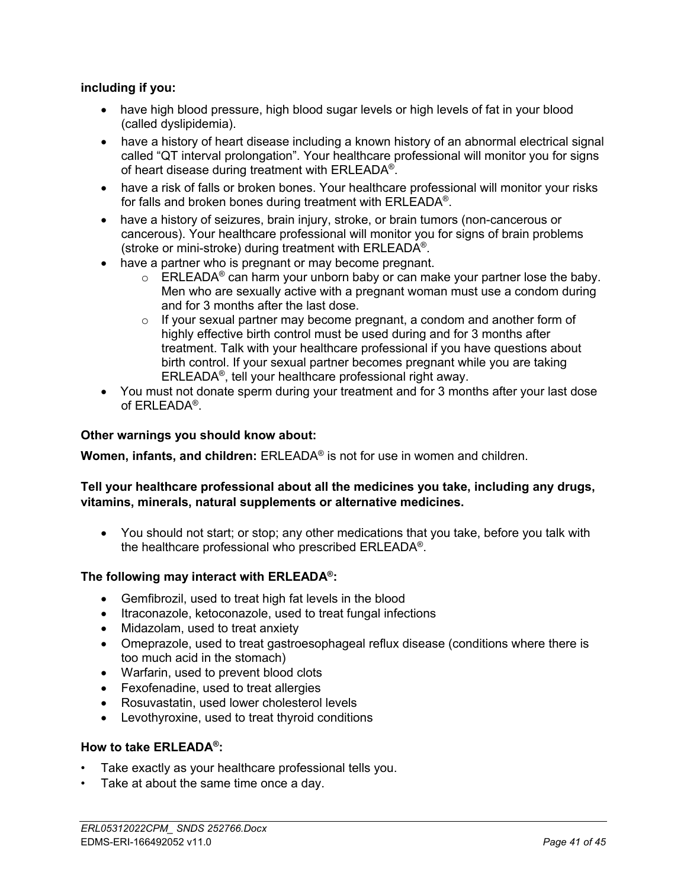## **including if you:**

- have high blood pressure, high blood sugar levels or high levels of fat in your blood (called dyslipidemia).
- have a history of heart disease including a known history of an abnormal electrical signal called "QT interval prolongation". Your healthcare professional will monitor you for signs of heart disease during treatment with ERLEADA® .
- have a risk of falls or broken bones. Your healthcare professional will monitor your risks for falls and broken bones during treatment with ERLEADA® .
- have a history of seizures, brain injury, stroke, or brain tumors (non-cancerous or cancerous). Your healthcare professional will monitor you for signs of brain problems (stroke or mini-stroke) during treatment with ERLEADA® .
- have a partner who is pregnant or may become pregnant.
	- $\circ$  ERLEADA<sup>®</sup> can harm your unborn baby or can make your partner lose the baby. Men who are sexually active with a pregnant woman must use a condom during and for 3 months after the last dose.
	- $\circ$  If your sexual partner may become pregnant, a condom and another form of highly effective birth control must be used during and for 3 months after treatment. Talk with your healthcare professional if you have questions about birth control. If your sexual partner becomes pregnant while you are taking ERLEADA® , tell your healthcare professional right away.
- You must not donate sperm during your treatment and for 3 months after your last dose of ERLEADA® .

### **Other warnings you should know about:**

**Women, infants, and children:** ERLEADA® is not for use in women and children.

### **Tell your healthcare professional about all the medicines you take, including any drugs, vitamins, minerals, natural supplements or alternative medicines.**

 You should not start; or stop; any other medications that you take, before you talk with the healthcare professional who prescribed ERLEADA® .

### **The following may interact with ERLEADA® :**

- Gemfibrozil, used to treat high fat levels in the blood
- Itraconazole, ketoconazole, used to treat fungal infections
- Midazolam, used to treat anxiety
- Omeprazole, used to treat gastroesophageal reflux disease (conditions where there is too much acid in the stomach)
- Warfarin, used to prevent blood clots
- Fexofenadine, used to treat allergies
- Rosuvastatin, used lower cholesterol levels
- Levothyroxine, used to treat thyroid conditions

### **How to take ERLEADA® :**

- Take exactly as your healthcare professional tells you.
- Take at about the same time once a day.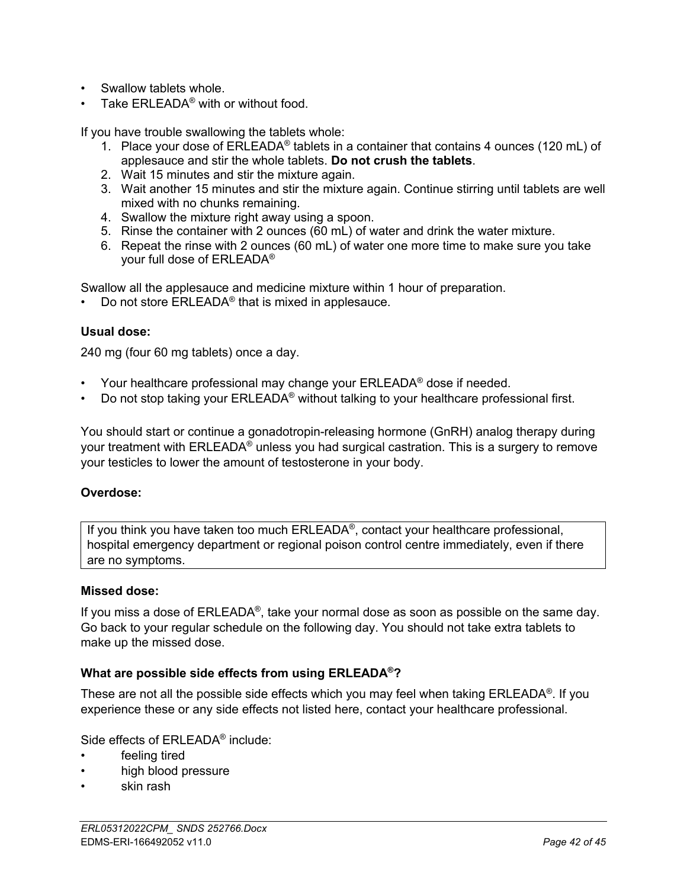- Swallow tablets whole.
- Take ERLEADA<sup>®</sup> with or without food.

If you have trouble swallowing the tablets whole:

- 1. Place your dose of  $ERLEADA<sup>®</sup>$  tablets in a container that contains 4 ounces (120 mL) of applesauce and stir the whole tablets. **Do not crush the tablets**.
- 2. Wait 15 minutes and stir the mixture again.
- 3. Wait another 15 minutes and stir the mixture again. Continue stirring until tablets are well mixed with no chunks remaining.
- 4. Swallow the mixture right away using a spoon.
- 5. Rinse the container with 2 ounces (60 mL) of water and drink the water mixture.
- 6. Repeat the rinse with 2 ounces (60 mL) of water one more time to make sure you take your full dose of ERLEADA®

Swallow all the applesauce and medicine mixture within 1 hour of preparation.

• Do not store  $ERLEADA<sup>®</sup>$  that is mixed in applesauce.

#### **Usual dose:**

240 mg (four 60 mg tablets) once a day.

- Your healthcare professional may change your  $ERLEADA<sup>®</sup>$  dose if needed.
- Do not stop taking your ERLEADA® without talking to your healthcare professional first.

You should start or continue a gonadotropin-releasing hormone (GnRH) analog therapy during your treatment with ERLEADA® unless you had surgical castration. This is a surgery to remove your testicles to lower the amount of testosterone in your body.

#### **Overdose:**

If you think you have taken too much ERLEADA® , contact your healthcare professional, hospital emergency department or regional poison control centre immediately, even if there are no symptoms.

#### **Missed dose:**

If you miss a dose of ERLEADA®, take your normal dose as soon as possible on the same day. Go back to your regular schedule on the following day. You should not take extra tablets to make up the missed dose.

#### **What are possible side effects from using ERLEADA®?**

These are not all the possible side effects which you may feel when taking ERLEADA® . If you experience these or any side effects not listed here, contact your healthcare professional.

Side effects of ERLEADA<sup>®</sup> include:

- feeling tired
- high blood pressure
- skin rash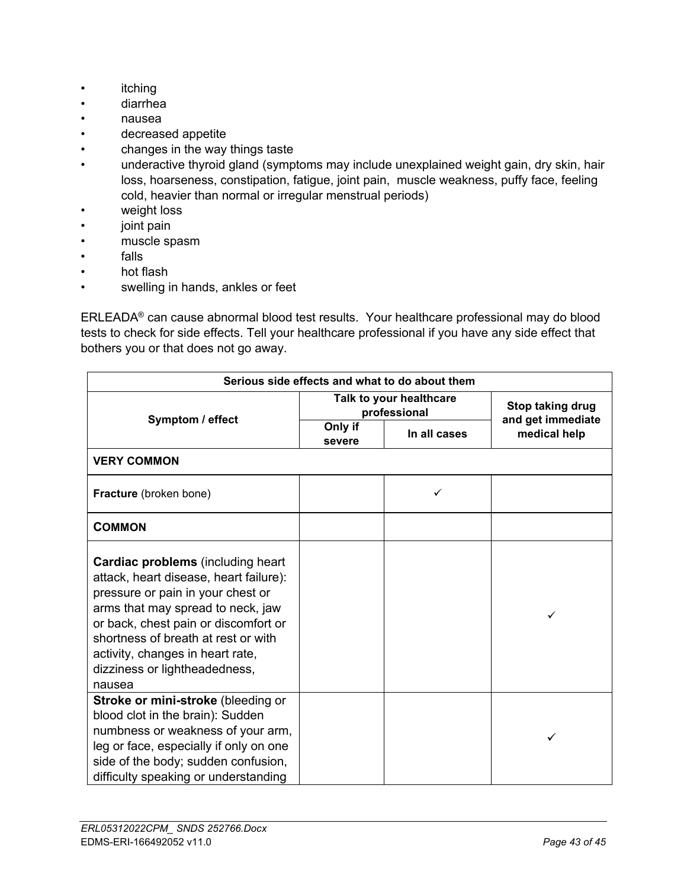- itching
- diarrhea
- nausea
- decreased appetite
- changes in the way things taste
- underactive thyroid gland (symptoms may include unexplained weight gain, dry skin, hair loss, hoarseness, constipation, fatigue, joint pain, muscle weakness, puffy face, feeling cold, heavier than normal or irregular menstrual periods)
- weight loss
- joint pain
- muscle spasm
- falls
- hot flash
- swelling in hands, ankles or feet

ERLEADA® can cause abnormal blood test results. Your healthcare professional may do blood tests to check for side effects. Tell your healthcare professional if you have any side effect that bothers you or that does not go away.

| Serious side effects and what to do about them                                                                                                                                                                                                                                                                              |                                         |              |                                   |  |
|-----------------------------------------------------------------------------------------------------------------------------------------------------------------------------------------------------------------------------------------------------------------------------------------------------------------------------|-----------------------------------------|--------------|-----------------------------------|--|
| Symptom / effect                                                                                                                                                                                                                                                                                                            | Talk to your healthcare<br>professional |              | Stop taking drug                  |  |
|                                                                                                                                                                                                                                                                                                                             | Only if<br>severe                       | In all cases | and get immediate<br>medical help |  |
| <b>VERY COMMON</b>                                                                                                                                                                                                                                                                                                          |                                         |              |                                   |  |
| Fracture (broken bone)                                                                                                                                                                                                                                                                                                      |                                         | ✓            |                                   |  |
| <b>COMMON</b>                                                                                                                                                                                                                                                                                                               |                                         |              |                                   |  |
| <b>Cardiac problems</b> (including heart)<br>attack, heart disease, heart failure):<br>pressure or pain in your chest or<br>arms that may spread to neck, jaw<br>or back, chest pain or discomfort or<br>shortness of breath at rest or with<br>activity, changes in heart rate,<br>dizziness or lightheadedness,<br>nausea |                                         |              | ✓                                 |  |
| Stroke or mini-stroke (bleeding or<br>blood clot in the brain): Sudden<br>numbness or weakness of your arm,<br>leg or face, especially if only on one<br>side of the body; sudden confusion,<br>difficulty speaking or understanding                                                                                        |                                         |              | ✓                                 |  |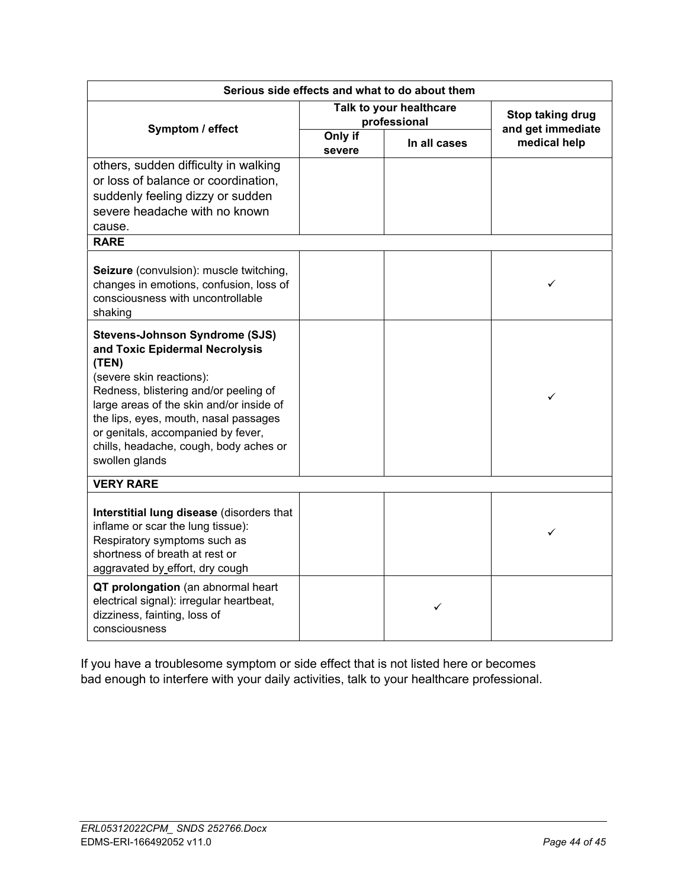| Serious side effects and what to do about them                                                                                                                                                                                                                                                                                               |                                         |              |                                       |  |
|----------------------------------------------------------------------------------------------------------------------------------------------------------------------------------------------------------------------------------------------------------------------------------------------------------------------------------------------|-----------------------------------------|--------------|---------------------------------------|--|
| Symptom / effect                                                                                                                                                                                                                                                                                                                             | Talk to your healthcare<br>professional |              | Stop taking drug<br>and get immediate |  |
|                                                                                                                                                                                                                                                                                                                                              | Only if<br>severe                       | In all cases | medical help                          |  |
| others, sudden difficulty in walking<br>or loss of balance or coordination.<br>suddenly feeling dizzy or sudden<br>severe headache with no known<br>cause.                                                                                                                                                                                   |                                         |              |                                       |  |
| <b>RARE</b>                                                                                                                                                                                                                                                                                                                                  |                                         |              |                                       |  |
| Seizure (convulsion): muscle twitching,<br>changes in emotions, confusion, loss of<br>consciousness with uncontrollable<br>shaking                                                                                                                                                                                                           |                                         |              | ✓                                     |  |
| <b>Stevens-Johnson Syndrome (SJS)</b><br>and Toxic Epidermal Necrolysis<br>(TEN)<br>(severe skin reactions):<br>Redness, blistering and/or peeling of<br>large areas of the skin and/or inside of<br>the lips, eyes, mouth, nasal passages<br>or genitals, accompanied by fever,<br>chills, headache, cough, body aches or<br>swollen glands |                                         |              | ✓                                     |  |
| <b>VERY RARE</b>                                                                                                                                                                                                                                                                                                                             |                                         |              |                                       |  |
| Interstitial lung disease (disorders that<br>inflame or scar the lung tissue):<br>Respiratory symptoms such as<br>shortness of breath at rest or<br>aggravated by effort, dry cough                                                                                                                                                          |                                         |              | ✓                                     |  |
| QT prolongation (an abnormal heart<br>electrical signal): irregular heartbeat,<br>dizziness, fainting, loss of<br>consciousness                                                                                                                                                                                                              |                                         | ✓            |                                       |  |

If you have a troublesome symptom or side effect that is not listed here or becomes bad enough to interfere with your daily activities, talk to your healthcare professional.